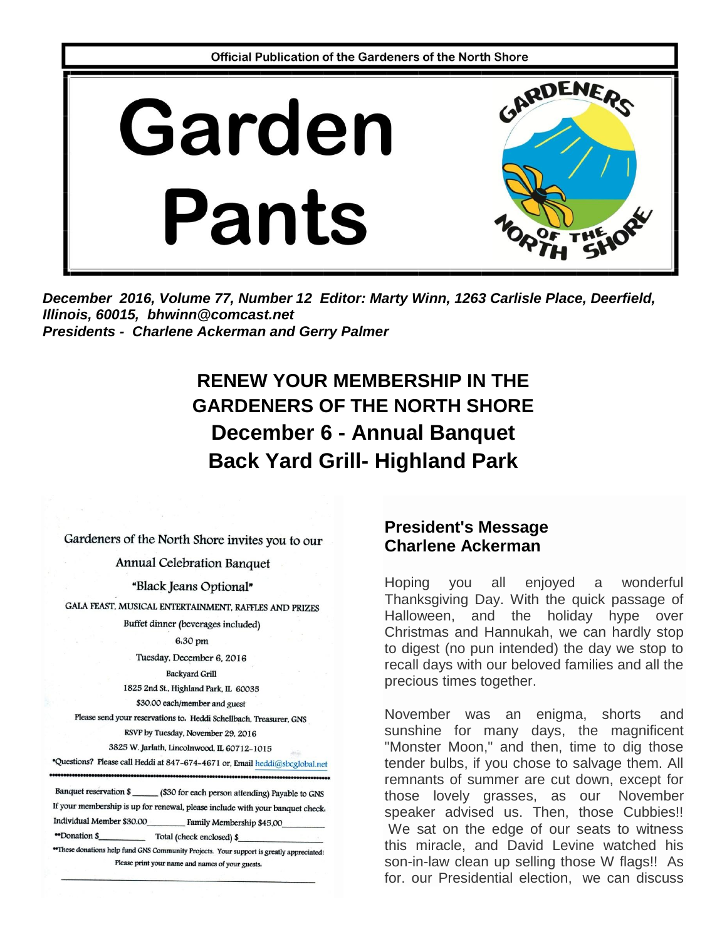

December 2016, Volume 77, Number 12 Editor: Marty Winn, 1263 Carlisle Place, Deerfield, Illinois, 60015, bhwinn@comcast.net **Presidents - Charlene Ackerman and Gerry Palmer** 

# **RENEW YOUR MEMBERSHIP IN THE GARDENERS OF THE NORTH SHORE December 6 - Annual Banquet Back Yard Grill- Highland Park**

Gardeners of the North Shore invites you to our

**Annual Celebration Banquet** 

"Black Jeans Optional"

GALA FEAST, MUSICAL ENTERTAINMENT, RAFFLES AND PRIZES

Buffet dinner (beverages included)

6.30 pm

Tuesday, December 6, 2016

**Backyard Grill** 

1825 2nd St., Highland Park, IL 60035

\$30.00 each/member and guest

Please send your reservations to. Heddi Schellbach, Treasurer, GNS RSVP by Tuesday, November 29, 2016

3825 W. Jarlath, Lincolnwood, IL 60712-1015

\*Questions? Please call Heddi at 847-674-4671 or, Email heddi@sbcglobal.net Banquet reservation \$ (\$30 for each person attending) Payable to GNS

If your membership is up for renewal, please include with your banquet check. Individual Member \$30.00 Family Membership \$45,00

"Donation \$ \_ Total (check enclosed) \$\_

\*These donations help fund GNS Community Projects. Your support is greatly appreciated! Please print your name and names of your guests.

#### **President's Message** Charlene Ackerman

Hoping **VOU** all enjoved a wonderful Thanksgiving Day. With the quick passage of Halloween, and the holiday hype over Christmas and Hannukah, we can hardly stop to digest (no pun intended) the day we stop to recall days with our beloved families and all the precious times together.

November was an enigma, shorts and sunshine for many days, the magnificent "Monster Moon," and then, time to dig those tender bulbs, if you chose to salvage them. All remnants of summer are cut down, except for those lovely grasses, as our November speaker advised us. Then, those Cubbies!! We sat on the edge of our seats to witness this miracle, and David Levine watched his son-in-law clean up selling those W flags!! As for. our Presidential election, we can discuss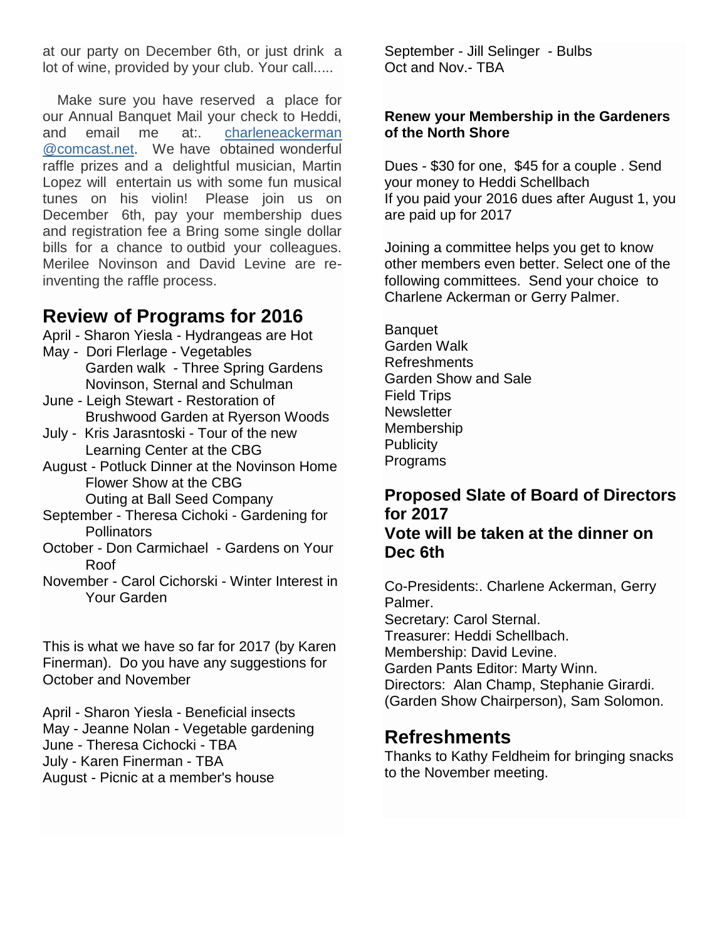at our party on December 6th, or just drink a lot of wine, provided by your club. Your call.....

Make sure you have reserved a place for our Annual Banquet Mail your check to Heddi, and email me at:. [charleneackerman](javascript:window.top.ZmObjectManager.__doClickObject(document.getElementById(%22OBJ_PREFIX_DWT5010_com_zimbra_email%22));) [@comcast.net.](javascript:window.top.ZmObjectManager.__doClickObject(document.getElementById(%22OBJ_PREFIX_DWT5010_com_zimbra_email%22));) We have obtained wonderful raffle prizes and a delightful musician, Martin Lopez will entertain us with some fun musical tunes on his violin! Please join us on December 6th, pay your membership dues and registration fee a Bring some single dollar bills for a chance to outbid your colleagues. Merilee Novinson and David Levine are reinventing the raffle process.

### **Review of Programs for 2016**

- April Sharon Yiesla Hydrangeas are Hot
- May Dori Flerlage Vegetables Garden walk - Three Spring Gardens Novinson, Sternal and Schulman
- June Leigh Stewart Restoration of Brushwood Garden at Ryerson Woods
- July Kris Jarasntoski Tour of the new Learning Center at the CBG
- August Potluck Dinner at the Novinson Home Flower Show at the CBG Outing at Ball Seed Company
- September Theresa Cichoki Gardening for **Pollinators**
- October Don Carmichael Gardens on Your Roof
- November Carol Cichorski Winter Interest in Your Garden

This is what we have so far for 2017 (by Karen Finerman). Do you have any suggestions for October and November

April - Sharon Yiesla - Beneficial insects May - Jeanne Nolan - Vegetable gardening June - Theresa Cichocki - TBA July - Karen Finerman - TBA August - Picnic at a member's house

September - Jill Selinger - Bulbs Oct and Nov.- TBA

#### **Renew your Membership in the Gardeners of the North Shore**

Dues - \$30 for one, \$45 for a couple . Send your money to Heddi Schellbach If you paid your 2016 dues after August 1, you are paid up for 2017

Joining a committee helps you get to know other members even better. Select one of the following committees. Send your choice to Charlene Ackerman or Gerry Palmer.

Banquet Garden Walk Refreshments Garden Show and Sale Field Trips **Newsletter** Membership **Publicity** Programs

#### **Proposed Slate of Board of Directors for 2017 Vote will be taken at the dinner on Dec 6th**

Co-Presidents:. Charlene Ackerman, Gerry Palmer. Secretary: Carol Sternal. Treasurer: Heddi Schellbach. Membership: David Levine. Garden Pants Editor: Marty Winn. Directors: Alan Champ, Stephanie Girardi. (Garden Show Chairperson), Sam Solomon.

### **Refreshments**

Thanks to Kathy Feldheim for bringing snacks to the November meeting.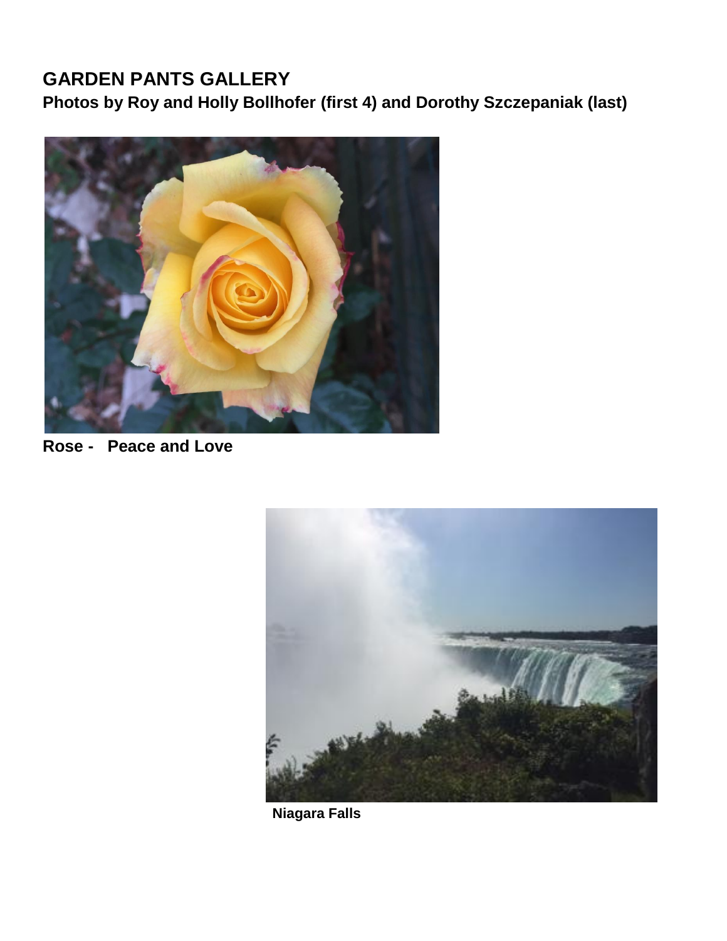## **GARDEN PANTS GALLERY Photos by Roy and Holly Bollhofer (first 4) and Dorothy Szczepaniak (last)**



**Rose - Peace and Love**



 **Niagara Falls**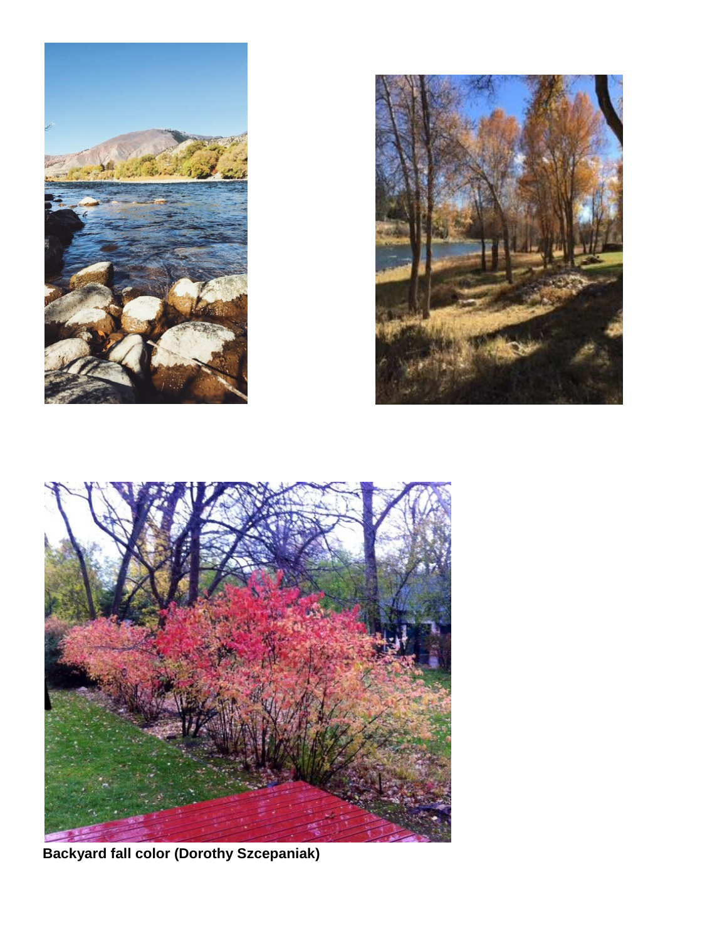





**Backyard fall color (Dorothy Szcepaniak)**